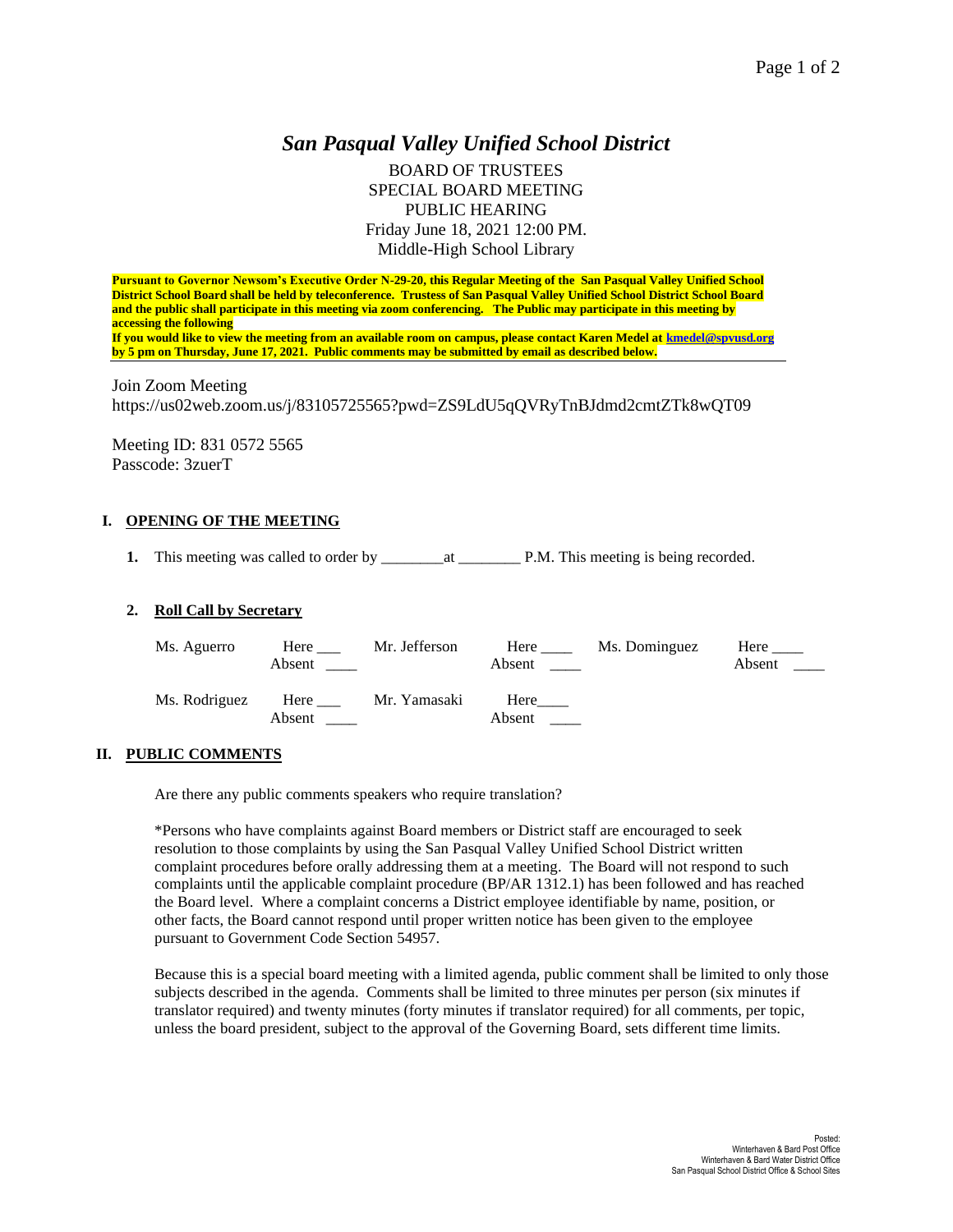# *San Pasqual Valley Unified School District*

BOARD OF TRUSTEES SPECIAL BOARD MEETING PUBLIC HEARING Friday June 18, 2021 12:00 PM. Middle-High School Library

**Pursuant to Governor Newsom's Executive Order N-29-20, this Regular Meeting of the San Pasqual Valley Unified School District School Board shall be held by teleconference. Trustess of San Pasqual Valley Unified School District School Board and the public shall participate in this meeting via zoom conferencing. The Public may participate in this meeting by accessing the following If you would like to view the meeting from an available room on campus, please contact Karen Medel at [kmedel@spvusd.org](mailto:kmedel@spvusd.org) by 5 pm on Thursday, June 17, 2021. Public comments may be submitted by email as described below.** 

Join Zoom Meeting https://us02web.zoom.us/j/83105725565?pwd=ZS9LdU5qQVRyTnBJdmd2cmtZTk8wQT09

Meeting ID: 831 0572 5565 Passcode: 3zuerT

# **I. OPENING OF THE MEETING**

**1.** This meeting was called to order by \_\_\_\_\_\_\_\_at \_\_\_\_\_\_\_\_ P.M. This meeting is being recorded.

### **2. Roll Call by Secretary**

| Ms. Aguerro   | Here<br>Absent | Mr. Jefferson | Here<br>Absent | Ms. Dominguez | Here<br>Absent |
|---------------|----------------|---------------|----------------|---------------|----------------|
| Ms. Rodriguez | Here<br>Absent | Mr. Yamasaki  | Here<br>Absent |               |                |

## **II. PUBLIC COMMENTS**

Are there any public comments speakers who require translation?

\*Persons who have complaints against Board members or District staff are encouraged to seek resolution to those complaints by using the San Pasqual Valley Unified School District written complaint procedures before orally addressing them at a meeting. The Board will not respond to such complaints until the applicable complaint procedure (BP/AR 1312.1) has been followed and has reached the Board level. Where a complaint concerns a District employee identifiable by name, position, or other facts, the Board cannot respond until proper written notice has been given to the employee pursuant to Government Code Section 54957.

Because this is a special board meeting with a limited agenda, public comment shall be limited to only those subjects described in the agenda. Comments shall be limited to three minutes per person (six minutes if translator required) and twenty minutes (forty minutes if translator required) for all comments, per topic, unless the board president, subject to the approval of the Governing Board, sets different time limits.